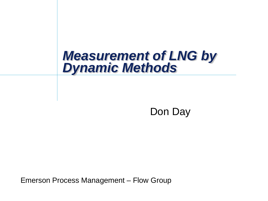# *Measurement of LNG by Dynamic Methods*

Don Day

Emerson Process Management – Flow Group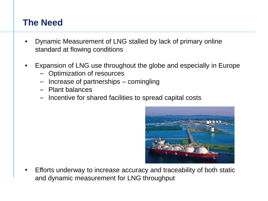#### **The Need**

- Dynamic Measurement of LNG stalled by lack of primary online standard at flowing conditions
- Expansion of LNG use throughout the globe and especially in Europe
	- Optimization of resources
	- Increase of partnerships comingling
	- Plant balances
	- Incentive for shared facilities to spread capital costs



• Efforts underway to increase accuracy and traceability of both static and dynamic measurement for LNG throughput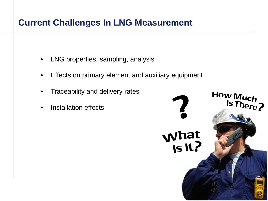#### **Current Challenges In LNG Measurement**

- LNG properties, sampling, analysis
- Effects on primary element and auxiliary equipment
- Traceability and delivery rates
- Installation effects

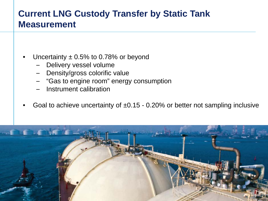#### **Current LNG Custody Transfer by Static Tank Measurement**

- Uncertainty  $\pm$  0.5% to 0.78% or beyond
	- Delivery vessel volume
	- Density/gross colorific value
	- "Gas to engine room" energy consumption
	- Instrument calibration
- Goal to achieve uncertainty of  $\pm 0.15$  0.20% or better not sampling inclusive

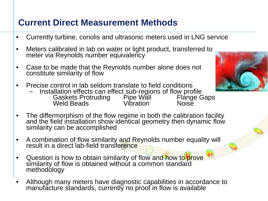#### **Current Direct Measurement Methods**

- Currently turbine, coriolis and ultrasonic meters used in LNG service
- Meters calibrated in lab on water or light product, transferred to meter via Reynolds number equivalency
- Case to be made that the Reynolds number alone does not constitute similarity of flow
- Precise control in lab seldom translate to field conditions
	- Installation effects can effect sub-regions of flow profile<br>Gaskets Protruding Pipe Wall Flange Gaps<br>Weld Beads Vibration Noise
- The differmorphism of the flow regime in both the calibration facility and the field installation show identical geometry then dynamic flow similarity can be accomplished
- A combination of flow similarity and Reynolds number equality will result in a direct lab-field transference
- Question is how to obtain similarity of flow and how to prove similarity of flow is obtained without a common standard methodology
- Although many meters have diagnostic capabilities in accordance to manufacture standards, currently no proof in flow is available

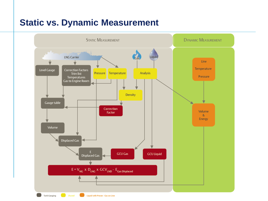#### **Static vs. Dynamic Measurement**

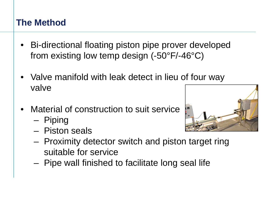### **The Method**

- Bi-directional floating piston pipe prover developed from existing low temp design (-50°F/-46°C)
- Valve manifold with leak detect in lieu of four way valve
- Material of construction to suit service
	- Piping
	- Piston seals



- Proximity detector switch and piston target ring suitable for service
- Pipe wall finished to facilitate long seal life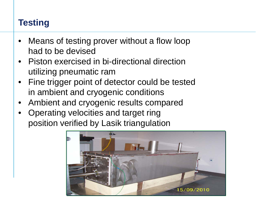## **Testing**

- Means of testing prover without a flow loop had to be devised
- Piston exercised in bi-directional direction utilizing pneumatic ram
- Fine trigger point of detector could be tested in ambient and cryogenic conditions
- Ambient and cryogenic results compared
- Operating velocities and target ring position verified by Lasik triangulation